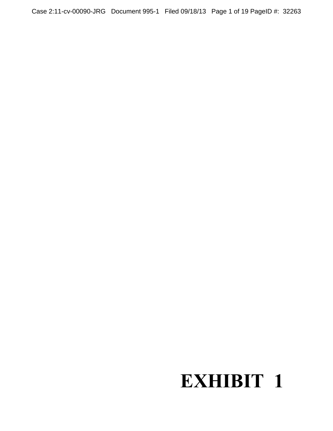Case 2:11-cv-00090-JRG Document 995-1 Filed 09/18/13 Page 1 of 19 PageID #: 32263

# **EXHIBIT 1**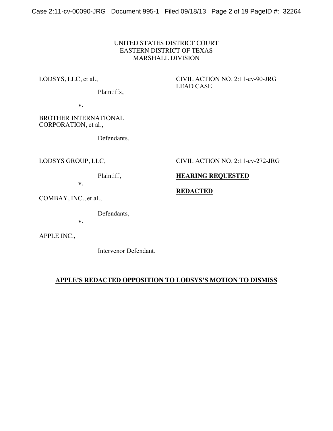#### UNITED STATES DISTRICT COURT EASTERN DISTRICT OF TEXAS MARSHALL DIVISION

LODSYS, LLC, et al., Plaintiffs, v. BROTHER INTERNATIONAL CORPORATION, et al., Defendants. CIVIL ACTION NO. 2:11-cv-90-JRG LEAD CASE LODSYS GROUP, LLC, Plaintiff, v. COMBAY, INC., et al., Defendants, v. **HEARING REQUESTED REDACTED**

APPLE INC.,

Intervenor Defendant.

CIVIL ACTION NO. 2:11-cv-272-JRG

#### **APPLE'S REDACTED OPPOSITION TO LODSYS'S MOTION TO DISMISS**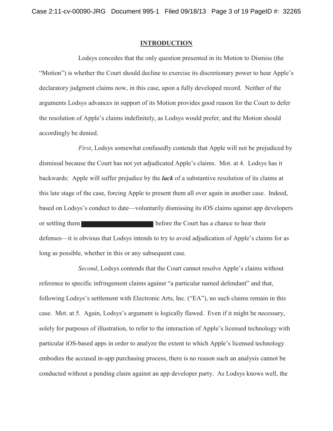#### **INTRODUCTION**

Lodsys concedes that the only question presented in its Motion to Dismiss (the "Motion") is whether the Court should decline to exercise its discretionary power to hear Apple's declaratory judgment claims now, in this case, upon a fully developed record. Neither of the arguments Lodsys advances in support of its Motion provides good reason for the Court to defer the resolution of Apple's claims indefinitely, as Lodsys would prefer, and the Motion should accordingly be denied.

*First*, Lodsys somewhat confusedly contends that Apple will not be prejudiced by dismissal because the Court has not yet adjudicated Apple's claims. Mot. at 4. Lodsys has it backwards: Apple will suffer prejudice by the *lack* of a substantive resolution of its claims at this late stage of the case, forcing Apple to present them all over again in another case. Indeed, based on Lodsys's conduct to date—voluntarily dismissing its iOS claims against app developers or settling them before the Court has a chance to hear their defenses—it is obvious that Lodsys intends to try to avoid adjudication of Apple's claims for as long as possible, whether in this or any subsequent case.

*Second*, Lodsys contends that the Court cannot resolve Apple's claims without reference to specific infringement claims against "a particular named defendant" and that, following Lodsys's settlement with Electronic Arts, Inc. ("EA"), no such claims remain in this case. Mot. at 5. Again, Lodsys's argument is logically flawed. Even if it might be necessary, solely for purposes of illustration, to refer to the interaction of Apple's licensed technology with particular iOS-based apps in order to analyze the extent to which Apple's licensed technology embodies the accused in-app purchasing process, there is no reason such an analysis cannot be conducted without a pending claim against an app developer party. As Lodsys knows well, the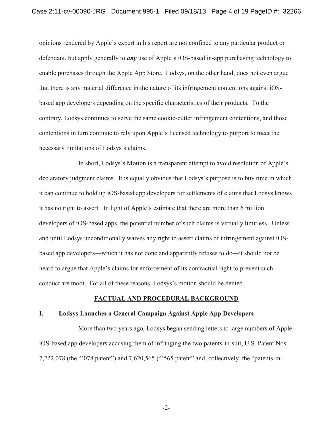opinions rendered by Apple's expert in his report are not confined to any particular product or defendant, but apply generally to *any* use of Apple's iOS-based in-app purchasing technology to enable purchases through the Apple App Store. Lodsys, on the other hand, does not even argue that there is any material difference in the nature of its infringement contentions against iOSbased app developers depending on the specific characteristics of their products. To the contrary, Lodsys continues to serve the same cookie-cutter infringement contentions, and those contentions in turn continue to rely upon Apple's licensed technology to purport to meet the necessary limitations of Lodsys's claims.

In short, Lodsys's Motion is a transparent attempt to avoid resolution of Apple's declaratory judgment claims. It is equally obvious that Lodsys's purpose is to buy time in which it can continue to hold up iOS-based app developers for settlements of claims that Lodsys knows it has no right to assert. In light of Apple's estimate that there are more than 6 million developers of iOS-based apps, the potential number of such claims is virtually limitless. Unless and until Lodsys unconditionally waives any right to assert claims of infringement against iOSbased app developers—which it has not done and apparently refuses to do—it should not be heard to argue that Apple's claims for enforcement of its contractual right to prevent such conduct are moot. For all of these reasons, Lodsys's motion should be denied.

#### **FACTUAL AND PROCEDURAL BACKGROUND**

#### **I. Lodsys Launches a General Campaign Against Apple App Developers**

More than two years ago, Lodsys began sending letters to large numbers of Apple iOS-based app developers accusing them of infringing the two patents-in-suit, U.S. Patent Nos.  $7,222,078$  (the "078 patent") and  $7,620,565$  ("565 patent" and, collectively, the "patents-in-

-2-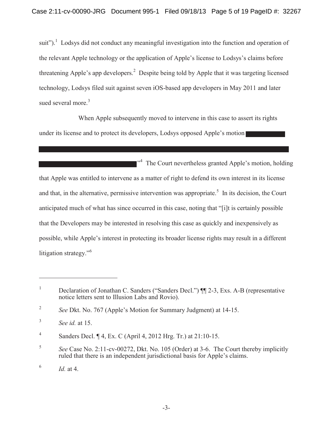suit").<sup>1</sup> Lodsys did not conduct any meaningful investigation into the function and operation of the relevant Apple technology or the application of Apple's license to Lodsys's claims before threatening Apple's app developers.<sup>2</sup> Despite being told by Apple that it was targeting licensed technology, Lodsys filed suit against seven iOS-based app developers in May 2011 and later sued several more.<sup>3</sup>

When Apple subsequently moved to intervene in this case to assert its rights under its license and to protect its developers, Lodsys opposed Apple's motion

<sup>34</sup> The Court nevertheless granted Apple's motion, holding that Apple was entitled to intervene as a matter of right to defend its own interest in its license and that, in the alternative, permissive intervention was appropriate.<sup>5</sup> In its decision, the Court anticipated much of what has since occurred in this case, noting that "[i]t is certainly possible that the Developers may be interested in resolving this case as quickly and inexpensively as possible, while Apple's interest in protecting its broader license rights may result in a different litigation strategy."<sup>6</sup>

<sup>&</sup>lt;sup>1</sup> Declaration of Jonathan C. Sanders ("Sanders Decl.")  $\P$  2-3, Exs. A-B (representative notice letters sent to Illusion Labs and Rovio).

<sup>&</sup>lt;sup>2</sup> *See* Dkt. No. 767 (Apple's Motion for Summary Judgment) at  $14-15$ .

<sup>3</sup> *See id.* at 15.

<sup>&</sup>lt;sup>4</sup> Sanders Decl.  $\P$  4, Ex. C (April 4, 2012 Hrg. Tr.) at 21:10-15.

<sup>5</sup> *See* Case No. 2:11-cv-00272, Dkt. No. 105 (Order) at 3-6. The Court thereby implicitly ruled that there is an independent jurisdictional basis for Apple's claims.

 $^{6}$  *Id.* at 4.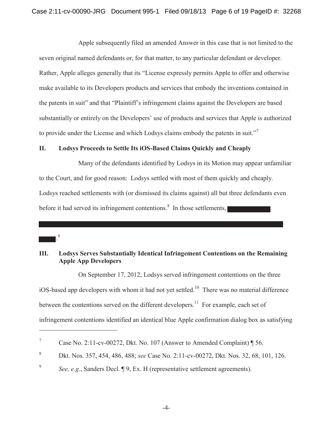Apple subsequently filed an amended Answer in this case that is not limited to the seven original named defendants or, for that matter, to any particular defendant or developer. Rather, Apple alleges generally that its "License expressly permits Apple to offer and otherwise make available to its Developers products and services that embody the inventions contained in the patents in suit" and that "Plaintiff's infringement claims against the Developers are based substantially or entirely on the Developers' use of products and services that Apple is authorized to provide under the License and which Lodsys claims embody the patents in suit."<sup>7</sup>

#### **II. Lodsys Proceeds to Settle Its iOS-Based Claims Quickly and Cheaply**

. 9

Many of the defendants identified by Lodsys in its Motion may appear unfamiliar to the Court, and for good reason: Lodsys settled with most of them quickly and cheaply. Lodsys reached settlements with (or dismissed its claims against) all but three defendants even before it had served its infringement contentions.<sup>8</sup> In those settlements,

#### **III. Lodsys Serves Substantially Identical Infringement Contentions on the Remaining Apple App Developers**

On September 17, 2012, Lodsys served infringement contentions on the three iOS-based app developers with whom it had not yet settled.<sup>10</sup> There was no material difference between the contentions served on the different developers.<sup>11</sup> For example, each set of infringement contentions identified an identical blue Apple confirmation dialog box as satisfying

<sup>&</sup>lt;sup>7</sup> Case No. 2:11-cv-00272, Dkt. No. 107 (Answer to Amended Complaint)  $\P$  56.

<sup>8</sup> Dkt. Nos. 357, 454, 486, 488; *see* Case No. 2:11-cv-00272, Dkt. Nos. 32, 68, 101, 126.

<sup>&</sup>lt;sup>9</sup> *See, e.g.*, Sanders Decl. **[9**, Ex. H (representative settlement agreements).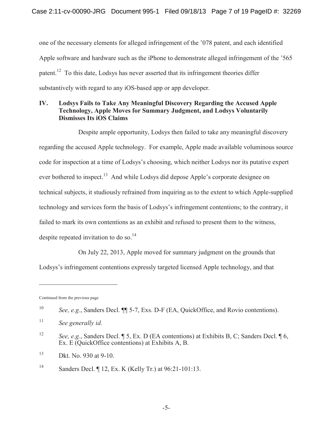one of the necessary elements for alleged infringement of the  $078$  patent, and each identified Apple software and hardware such as the iPhone to demonstrate alleged infringement of the  $365$ patent.<sup>12</sup> To this date, Lodsys has never asserted that its infringement theories differ substantively with regard to any iOS-based app or app developer.

### **IV. Lodsys Fails to Take Any Meaningful Discovery Regarding the Accused Apple Technology, Apple Moves for Summary Judgment, and Lodsys Voluntarily Dismisses Its iOS Claims**

Despite ample opportunity, Lodsys then failed to take any meaningful discovery regarding the accused Apple technology. For example, Apple made available voluminous source code for inspection at a time of Lodsys's choosing, which neither Lodsys nor its putative expert ever bothered to inspect.<sup>13</sup> And while Lodsys did depose Apple's corporate designee on technical subjects, it studiously refrained from inquiring as to the extent to which Apple-supplied technology and services form the basis of Lodsys's infringement contentions; to the contrary, it failed to mark its own contentions as an exhibit and refused to present them to the witness, despite repeated invitation to do so.<sup>14</sup>

On July 22, 2013, Apple moved for summary judgment on the grounds that Lodsys's infringement contentions expressly targeted licensed Apple technology, and that

Continued from the previous page

<sup>10</sup> *See, e.g.*, Sanders Decl. ¶¶ 5-7, Exs. D-F (EA, QuickOffice, and Rovio contentions).

<sup>11</sup> *See generally id.*

<sup>12</sup> *See, e.g.*, Sanders Decl. ¶ 5, Ex. D (EA contentions) at Exhibits B, C; Sanders Decl. ¶ 6, Ex. E (QuickOffice contentions) at Exhibits A, B.

<sup>13</sup> Dkt. No. 930 at 9-10.

<sup>14</sup> Sanders Decl. ¶ 12, Ex. K (Kelly Tr.) at 96:21-101:13.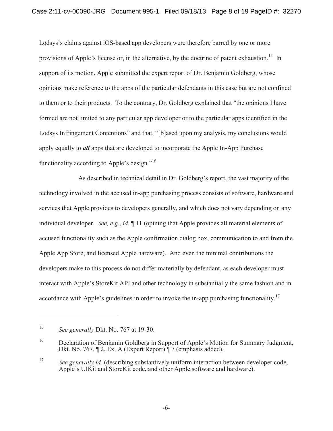Lodsys's claims against iOS-based app developers were therefore barred by one or more provisions of Apple's license or, in the alternative, by the doctrine of patent exhaustion.<sup>15</sup> In support of its motion, Apple submitted the expert report of Dr. Benjamin Goldberg, whose opinions make reference to the apps of the particular defendants in this case but are not confined to them or to their products. To the contrary, Dr. Goldberg explained that "the opinions I have formed are not limited to any particular app developer or to the particular apps identified in the Lodsys Infringement Contentions" and that, "[b]ased upon my analysis, my conclusions would apply equally to *all* apps that are developed to incorporate the Apple In-App Purchase functionality according to Apple's design."<sup>16</sup>

As described in technical detail in Dr. Goldberg's report, the vast majority of the technology involved in the accused in-app purchasing process consists of software, hardware and services that Apple provides to developers generally, and which does not vary depending on any individual developer. *See, e.g.*, *id.* ¶ 11 (opining that Apple provides all material elements of accused functionality such as the Apple confirmation dialog box, communication to and from the Apple App Store, and licensed Apple hardware). And even the minimal contributions the developers make to this process do not differ materially by defendant, as each developer must interact with Apple's StoreKit API and other technology in substantially the same fashion and in accordance with Apple's guidelines in order to invoke the in-app purchasing functionality.<sup>17</sup>

<sup>15</sup> *See generally* Dkt. No. 767 at 19-30.

 $16$  Declaration of Benjamin Goldberg in Support of Apple's Motion for Summary Judgment, Dkt. No. 767, ¶ 2, Ex. A (Expert Report) ¶ 7 (emphasis added).

<sup>&</sup>lt;sup>17</sup> See generally id. (describing substantively uniform interaction between developer code, Apple's UIK it and StoreKit code, and other Apple software and hardware).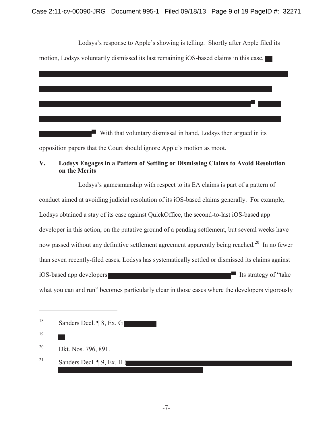#### Case 2:11-cv-00090-JRG Document 995-1 Filed 09/18/13 Page 9 of 19 PageID #: 32271

Lodsys's response to Apple's showing is telling. Shortly after Apple filed its

motion, Lodsys voluntarily dismissed its last remaining iOS-based claims in this case,

With that voluntary dismissal in hand, Lodsys then argued in its

opposition papers that the Court should ignore Apple's motion as moot.

### **V. Lodsys Engages in a Pattern of Settling or Dismissing Claims to Avoid Resolution on the Merits**

Lodsys's gamesmanship with respect to its EA claims is part of a pattern of conduct aimed at avoiding judicial resolution of its iOS-based claims generally. For example, Lodsys obtained a stay of its case against QuickOffice, the second-to-last iOS-based app developer in this action, on the putative ground of a pending settlement, but several weeks have now passed without any definitive settlement agreement apparently being reached.<sup>20</sup> In no fewer than seven recently-filed cases, Lodsys has systematically settled or dismissed its claims against iOS-based app developers **Its strategy of "take** what you can and run" becomes particularly clear in those cases where the developers vigorously

| 18 |                          |  |  |  |
|----|--------------------------|--|--|--|
|    | Sanders Decl. ¶ 8, Ex. G |  |  |  |
|    |                          |  |  |  |

19

20 Dkt. Nos. 796, 891.

<sup>21</sup> Sanders Decl. ¶ 9, Ex. H (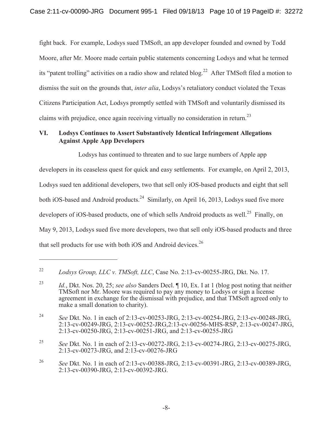fight back. For example, Lodsys sued TMSoft, an app developer founded and owned by Todd Moore, after Mr. Moore made certain public statements concerning Lodsys and what he termed its "patent trolling" activities on a radio show and related blog.<sup>22</sup> After TMSoft filed a motion to dismiss the suit on the grounds that, *inter alia*, Lodsys's retaliatory conduct violated the Texas Citizens Participation Act, Lodsys promptly settled with TMSoft and voluntarily dismissed its claims with prejudice, once again receiving virtually no consideration in return.<sup>23</sup>

#### **VI. Lodsys Continues to Assert Substantively Identical Infringement Allegations Against Apple App Developers**

Lodsys has continued to threaten and to sue large numbers of Apple app developers in its ceaseless quest for quick and easy settlements. For example, on April 2, 2013, Lodsys sued ten additional developers, two that sell only iOS-based products and eight that sell both iOS-based and Android products.<sup>24</sup> Similarly, on April 16, 2013, Lodsys sued five more developers of iOS-based products, one of which sells Android products as well.<sup>25</sup> Finally, on May 9, 2013, Lodsys sued five more developers, two that sell only iOS-based products and three that sell products for use with both iOS and Android devices.<sup>26</sup>

<sup>22</sup> *Lodsys Group, LLC v. TMSoft, LLC*, Case No. 2:13-cv-00255-JRG, Dkt. No. 17.

<sup>23</sup> *Id.*, Dkt. Nos. 20, 25; *see also* Sanders Decl. ¶ 10, Ex. I at 1 (blog post noting that neither TMSoft nor Mr. Moore was required to pay any money to Lodsys or sign a license agreement in exchange for the dismissal with prejudice, and that TMSoft agreed only to make a small donation to charity).

<sup>24</sup> *See* Dkt. No. 1 in each of 2:13-cv-00253-JRG, 2:13-cv-00254-JRG, 2:13-cv-00248-JRG, 2:13-cv-00249-JRG, 2:13-cv-00252-JRG,2:13-cv-00256-MHS-RSP, 2:13-cv-00247-JRG, 2:13-cv-00250-JRG, 2:13-cv-00251-JRG, and 2:13-cv-00255-JRG

<sup>25</sup> *See* Dkt. No. 1 in each of 2:13-cv-00272-JRG, 2:13-cv-00274-JRG, 2:13-cv-00275-JRG, 2:13-cv-00273-JRG, and 2:13-cv-00276-JRG

<sup>26</sup> *See* Dkt. No. 1 in each of 2:13-cv-00388-JRG, 2:13-cv-00391-JRG, 2:13-cv-00389-JRG, 2:13-cv-00390-JRG, 2:13-cv-00392-JRG.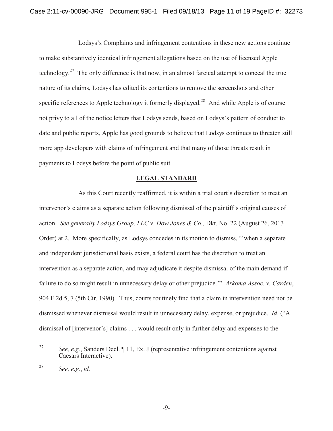Lodsys's Complaints and infringement contentions in these new actions continue to make substantively identical infringement allegations based on the use of licensed Apple technology.<sup>27</sup> The only difference is that now, in an almost farcical attempt to conceal the true nature of its claims, Lodsys has edited its contentions to remove the screenshots and other specific references to Apple technology it formerly displayed.<sup>28</sup> And while Apple is of course not privy to all of the notice letters that Lodsys sends, based on Lodsys's pattern of conduct to date and public reports, Apple has good grounds to believe that Lodsys continues to threaten still more app developers with claims of infringement and that many of those threats result in payments to Lodsys before the point of public suit.

#### **LEGAL STANDARD**

As this Court recently reaffirmed, it is within a trial court's discretion to treat an intervenor's claims as a separate action following dismissal of the plaintiff's original causes of action. *See generally Lodsys Group, LLC v. Dow Jones & Co.,* Dkt. No. 22 (August 26, 2013 Order) at 2. More specifically, as Lodsys concedes in its motion to dismiss, "when a separate and independent jurisdictional basis exists, a federal court has the discretion to treat an intervention as a separate action, and may adjudicate it despite dismissal of the main demand if failure to do so might result in unnecessary delay or other prejudice." Arkoma Assoc. v. Carden, 904 F.2d 5, 7 (5th Cir. 1990). Thus, courts routinely find that a claim in intervention need not be dismissed whenever dismissal would result in unnecessary delay, expense, or prejudice. *Id.* ("A dismissal of [intervenor's] claims . . . would result only in further delay and expenses to the

<sup>27</sup> *See, e.g.*, Sanders Decl. ¶ 11, Ex. J (representative infringement contentions against Caesars Interactive).

<sup>28</sup> *See, e.g.*, *id.*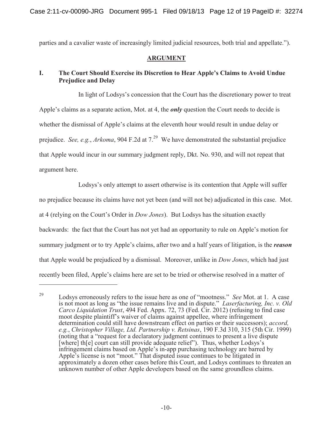parties and a cavalier waste of increasingly limited judicial resources, both trial and appellate.').

#### **ARGUMENT**

## **I.** The Court Should Exercise its Discretion to Hear Apple's Claims to Avoid Undue **Prejudice and Delay**

In light of Lodsys's concession that the Court has the discretionary power to treat Apple's claims as a separate action, Mot. at 4, the *only* question the Court needs to decide is whether the dismissal of Apple's claims at the eleventh hour would result in undue delay or prejudice. *See, e.g., Arkoma,* 904 F.2d at 7.<sup>29</sup> We have demonstrated the substantial prejudice that Apple would incur in our summary judgment reply, Dkt. No. 930, and will not repeat that argument here.

Lodsys's only attempt to assert otherwise is its contention that Apple will suffer no prejudice because its claims have not yet been (and will not be) adjudicated in this case. Mot. at 4 (relying on the Court's Order in *Dow Jones*). But Lodsys has the situation exactly backwards: the fact that the Court has not yet had an opportunity to rule on Apple's motion for summary judgment or to try Apple's claims, after two and a half years of litigation, is the *reason* that Apple would be prejudiced by a dismissal. Moreover, unlike in *Dow Jones*, which had just recently been filed, Apple's claims here are set to be tried or otherwise resolved in a matter of

<sup>&</sup>lt;sup>29</sup> Lodsys erroneously refers to the issue here as one of "mootness." *See* Mot. at 1. A case is not moot as long as "the issue remains live and in dispute." *Laserfacturing, Inc. v. Old Carco Liquidation Trust*, 494 Fed. Appx. 72, 73 (Fed. Cir. 2012) (refusing to find case moot despite plaintiff's waiver of claims against appellee, where infringement determination could still have downstream effect on parties or their successors); *accord, e.g.*, *Christopher Village, Ltd. Partnership v. Retsinas*, 190 F.3d 310, 315 (5th Cir. 1999) (noting that a "request for a declaratory judgment continues to present a live dispute [where] th[e] court can still provide adequate relief"). Thus, whether Lodsys's infringement claims based on Apple's in-app purchasing technology are barred by Apple's license is not "moot." That disputed issue continues to be litigated in approximately a dozen other cases before this Court, and Lodsys continues to threaten an unknown number of other Apple developers based on the same groundless claims.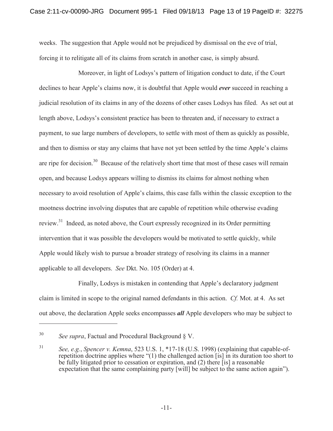weeks. The suggestion that Apple would not be prejudiced by dismissal on the eve of trial, forcing it to relitigate all of its claims from scratch in another case, is simply absurd.

Moreover, in light of Lodsys's pattern of litigation conduct to date, if the Court declines to hear Apple's claims now, it is doubtful that Apple would *ever* succeed in reaching a judicial resolution of its claims in any of the dozens of other cases Lodsys has filed. As set out at length above, Lodsys's consistent practice has been to threaten and, if necessary to extract a payment, to sue large numbers of developers, to settle with most of them as quickly as possible, and then to dismiss or stay any claims that have not yet been settled by the time Apple's claims are ripe for decision.<sup>30</sup> Because of the relatively short time that most of these cases will remain open, and because Lodsys appears willing to dismiss its claims for almost nothing when necessary to avoid resolution of Apple's claims, this case falls within the classic exception to the mootness doctrine involving disputes that are capable of repetition while otherwise evading review.<sup>31</sup> Indeed, as noted above, the Court expressly recognized in its Order permitting intervention that it was possible the developers would be motivated to settle quickly, while Apple would likely wish to pursue a broader strategy of resolving its claims in a manner applicable to all developers. *See* Dkt. No. 105 (Order) at 4.

Finally, Lodsys is mistaken in contending that Apple's declaratory judgment claim is limited in scope to the original named defendants in this action. *Cf.* Mot. at 4. As set out above, the declaration Apple seeks encompasses *all* Apple developers who may be subject to

<sup>30</sup> *See supra*, Factual and Procedural Background § V.

<sup>31</sup> *See, e.g.*, *Spencer v. Kemna*, 523 U.S. 1, \*17-18 (U.S. 1998) (explaining that capable-ofrepetition doctrine applies where  $(1)$  the challenged action  $[$ is] in its duration too short to be fully litigated prior to cessation or expiration, and (2) there [is] a reasonable expectation that the same complaining party [will] be subject to the same action again').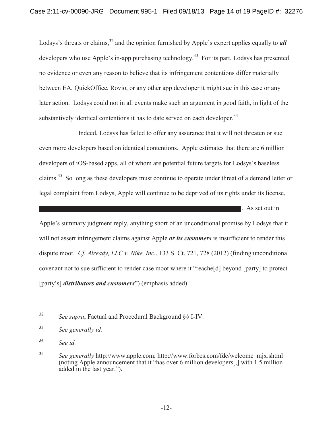Lodsys's threats or claims,<sup>32</sup> and the opinion furnished by Apple's expert applies equally to *all* developers who use Apple's in-app purchasing technology.<sup>33</sup> For its part, Lodsys has presented no evidence or even any reason to believe that its infringement contentions differ materially between EA, QuickOffice, Rovio, or any other app developer it might sue in this case or any later action. Lodsys could not in all events make such an argument in good faith, in light of the substantively identical contentions it has to date served on each developer.<sup>34</sup>

Indeed, Lodsys has failed to offer any assurance that it will not threaten or sue even more developers based on identical contentions. Apple estimates that there are 6 million developers of iOS-based apps, all of whom are potential future targets for Lodsys's baseless claims.<sup>35</sup> So long as these developers must continue to operate under threat of a demand letter or legal complaint from Lodsys, Apple will continue to be deprived of its rights under its license,

**Example 1.** As set out in

Apple's summary judgment reply, anything short of an unconditional promise by Lodsys that it will not assert infringement claims against Apple *or its customers* is insufficient to render this dispute moot. *Cf. Already, LLC v. Nike, Inc.*, 133 S. Ct. 721, 728 (2012) (finding unconditional covenant not to sue sufficient to render case moot where it "reache[d] beyond [party] to protect [party's] *distributors and customers*") (emphasis added).

<sup>32</sup> *See supra*, Factual and Procedural Background §§ I-IV.

<sup>33</sup> *See generally id.*

<sup>34</sup> *See id.*

<sup>35</sup> *See generally* http://www.apple.com; http://www.forbes.com/fdc/welcome\_mjx.shtml (noting Apple announcement that it "has over 6 million developers[,] with  $\overline{1}$ .5 million added in the last year.').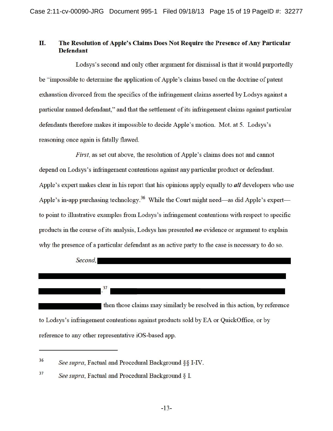#### II. The Resolution of Apple's Claims Does Not Require the Presence of Any Particular **Defendant**

Lodsys's second and only other argument for dismissal is that it would purportedly be "impossible to determine the application of Apple's claims based on the doctrine of patent exhaustion divorced from the specifics of the infringement claims asserted by Lodsys against a particular named defendant," and that the settlement of its infringement claims against particular defendants therefore makes it impossible to decide Apple's motion. Mot. at 5. Lodsys's reasoning once again is fatally flawed.

*First*, as set out above, the resolution of Apple's claims does not and cannot depend on Lodsys's infringement contentions against any particular product or defendant. Apple's expert makes clear in his report that his opinions apply equally to *all* developers who use Apple's in-app purchasing technology.<sup>36</sup> While the Court might need—as did Apple's expert to point to illustrative examples from Lodsys's infringement contentions with respect to specific products in the course of its analysis, Lodsys has presented  $no$  evidence or argument to explain why the presence of a particular defendant as an active party to the case is necessary to do so.

Second.

then those claims may similarly be resolved in this action, by reference to Lodsys's infringement contentions against products sold by EA or QuickOffice, or by reference to any other representative iOS-based app.

<sup>36</sup> See supra, Factual and Procedural Background §§ I-IV.

<sup>37</sup> See supra, Factual and Procedural Background § I.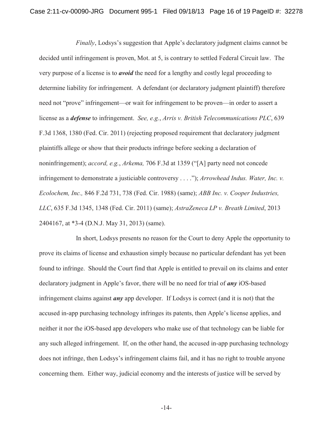*Finally*, Lodsys's suggestion that Apple's declaratory judgment claims cannot be decided until infringement is proven, Mot. at 5, is contrary to settled Federal Circuit law. The very purpose of a license is to *avoid* the need for a lengthy and costly legal proceeding to determine liability for infringement. A defendant (or declaratory judgment plaintiff) therefore need not "prove" infringement—or wait for infringement to be proven—in order to assert a license as a *defense* to infringement. *See, e.g.*, *Arris v. British Telecommunications PLC*, 639 F.3d 1368, 1380 (Fed. Cir. 2011) (rejecting proposed requirement that declaratory judgment plaintiffs allege or show that their products infringe before seeking a declaration of noninfringement); *accord, e.g.*, *Arkema,* 706 F.3d at 1359 (![A] party need not concede infringement to demonstrate a justiciable controversy . . . .'); *Arrowhead Indus. Water, Inc. v. Ecolochem, Inc.,* 846 F.2d 731, 738 (Fed. Cir. 1988) (same); *ABB Inc. v. Cooper Industries, LLC*, 635 F.3d 1345, 1348 (Fed. Cir. 2011) (same); *AstraZeneca LP v. Breath Limited*, 2013 2404167, at \*3-4 (D.N.J. May 31, 2013) (same).

In short, Lodsys presents no reason for the Court to deny Apple the opportunity to prove its claims of license and exhaustion simply because no particular defendant has yet been found to infringe. Should the Court find that Apple is entitled to prevail on its claims and enter declaratory judgment in Apple's favor, there will be no need for trial of *any* iOS-based infringement claims against *any* app developer. If Lodsys is correct (and it is not) that the accused in-app purchasing technology infringes its patents, then Apple's license applies, and neither it nor the iOS-based app developers who make use of that technology can be liable for any such alleged infringement. If, on the other hand, the accused in-app purchasing technology does not infringe, then Lodsys's infringement claims fail, and it has no right to trouble anyone concerning them. Either way, judicial economy and the interests of justice will be served by

-14-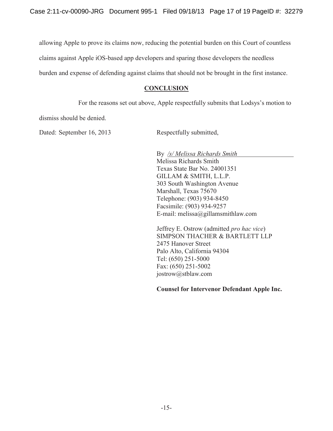allowing Apple to prove its claims now, reducing the potential burden on this Court of countless

claims against Apple iOS-based app developers and sparing those developers the needless

burden and expense of defending against claims that should not be brought in the first instance.

#### **CONCLUSION**

For the reasons set out above, Apple respectfully submits that Lodsys's motion to

dismiss should be denied.

Dated: September 16, 2013 Respectfully submitted,

By */s/ Melissa Richards Smith*  Melissa Richards Smith Texas State Bar No. 24001351 GILLAM & SMITH, L.L.P. 303 South Washington Avenue Marshall, Texas 75670 Telephone: (903) 934-8450 Facsimile: (903) 934-9257 E-mail: melissa@gillamsmithlaw.com

Jeffrey E. Ostrow (admitted *pro hac vice*) SIMPSON THACHER & BARTLETT LLP 2475 Hanover Street Palo Alto, California 94304 Tel: (650) 251-5000 Fax: (650) 251-5002 jostrow@stblaw.com

**Counsel for Intervenor Defendant Apple Inc.**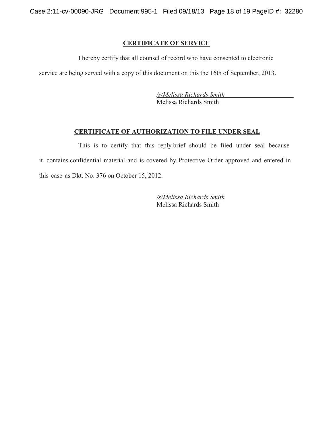Case 2:11-cv-00090-JRG Document 995-1 Filed 09/18/13 Page 18 of 19 PageID #: 32280

#### **CERTIFICATE OF SERVICE**

I hereby certify that all counsel of record who have consented to electronic

service are being served with a copy of this document on this the 16th of September, 2013.

*/s/Melissa Richards Smith*  Melissa Richards Smith

#### **CERTIFICATE OF AUTHORIZATION TO FILE UNDER SEAL**

This is to certify that this reply brief should be filed under seal because it contains confidential material and is covered by Protective Order approved and entered in this case as Dkt. No. 376 on October 15, 2012.

> */s/Melissa Richards Smith*  Melissa Richards Smith